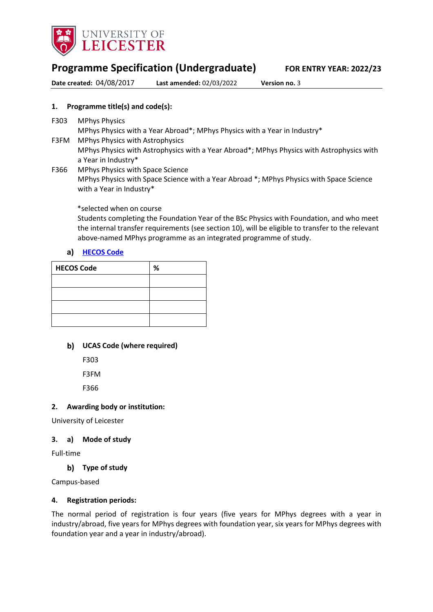

# **Programme Specification (Undergraduate) FOR ENTRY YEAR: 2022/23**

**Date created:** 04/08/2017 **Last amended:** 02/03/2022 **Version no.** 3

## **1. Programme title(s) and code(s):**

F303 MPhys Physics

MPhys Physics with a Year Abroad\*; MPhys Physics with a Year in Industry\*

- F3FM MPhys Physics with Astrophysics MPhys Physics with Astrophysics with a Year Abroad\*; MPhys Physics with Astrophysics with a Year in Industry\*
- F366 MPhys Physics with Space Science MPhys Physics with Space Science with a Year Abroad \*; MPhys Physics with Space Science with a Year in Industry\*

\*selected when on course

Students completing the Foundation Year of the BSc Physics with Foundation, and who meet the internal transfer requirements (see section 10), will be eligible to transfer to the relevant above-named MPhys programme as an integrated programme of study.

## a) **[HECOS Code](https://www.hesa.ac.uk/innovation/hecos)**

| <b>HECOS Code</b> | % |
|-------------------|---|
|                   |   |
|                   |   |
|                   |   |
|                   |   |

## **UCAS Code (where required)**

F303

F3FM

F366

## **2. Awarding body or institution:**

University of Leicester

## **3. a) Mode of study**

Full-time

## **Type of study**

Campus-based

## **4. Registration periods:**

The normal period of registration is four years (five years for MPhys degrees with a year in industry/abroad, five years for MPhys degrees with foundation year, six years for MPhys degrees with foundation year and a year in industry/abroad).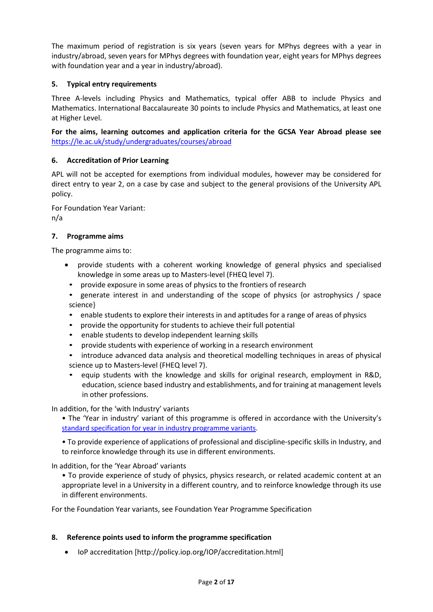The maximum period of registration is six years (seven years for MPhys degrees with a year in industry/abroad, seven years for MPhys degrees with foundation year, eight years for MPhys degrees with foundation year and a year in industry/abroad).

# **5. Typical entry requirements**

Three A-levels including Physics and Mathematics, typical offer ABB to include Physics and Mathematics. International Baccalaureate 30 points to include Physics and Mathematics, at least one at Higher Level.

## **For the aims, learning outcomes and application criteria for the GCSA Year Abroad please see**  <https://le.ac.uk/study/undergraduates/courses/abroad>

## **6. Accreditation of Prior Learning**

APL will not be accepted for exemptions from individual modules, however may be considered for direct entry to year 2, on a case by case and subject to the general provisions of the University APL policy.

For Foundation Year Variant: n/a

## **7. Programme aims**

The programme aims to:

- provide students with a coherent working knowledge of general physics and specialised knowledge in some areas up to Masters-level (FHEQ level 7).
	- provide exposure in some areas of physics to the frontiers of research
- generate interest in and understanding of the scope of physics {or astrophysics / space science}
- enable students to explore their interests in and aptitudes for a range of areas of physics
- provide the opportunity for students to achieve their full potential
- enable students to develop independent learning skills
- provide students with experience of working in a research environment
- introduce advanced data analysis and theoretical modelling techniques in areas of physical science up to Masters-level (FHEQ level 7).
- equip students with the knowledge and skills for original research, employment in R&D, education, science based industry and establishments, and for training at management levels in other professions.

In addition, for the 'with Industry' variants

• The 'Year in industry' variant of this programme is offered in accordance with the University's [standard specification for year in industry programme variants.](https://www2.le.ac.uk/offices/sas2/courses/documentation/undergraduate-programme-specification-content-for-year-in-industry-programme-variants)

• To provide experience of applications of professional and discipline-specific skills in Industry, and to reinforce knowledge through its use in different environments.

In addition, for the 'Year Abroad' variants

• To provide experience of study of physics, physics research, or related academic content at an appropriate level in a University in a different country, and to reinforce knowledge through its use in different environments.

For the Foundation Year variants, see Foundation Year Programme Specification

## **8. Reference points used to inform the programme specification**

• IoP accreditation [http://policy.iop.org/IOP/accreditation.html]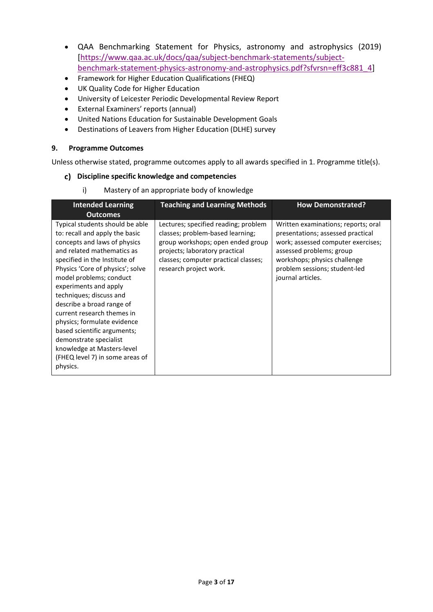- QAA Benchmarking Statement for Physics, astronomy and astrophysics (2019) [\[https://www.qaa.ac.uk/docs/qaa/subject-benchmark-statements/subject](https://eur03.safelinks.protection.outlook.com/?url=https%3A%2F%2Fwww.qaa.ac.uk%2Fdocs%2Fqaa%2Fsubject-benchmark-statements%2Fsubject-benchmark-statement-physics-astronomy-and-astrophysics.pdf%3Fsfvrsn%3Deff3c881_4&data=04%7C01%7Csav2%40leicester.ac.uk%7C8b98ca777ec0461f3e9708d8bece52f9%7Caebecd6a31d44b0195ce8274afe853d9%7C0%7C0%7C637469140961021592%7CUnknown%7CTWFpbGZsb3d8eyJWIjoiMC4wLjAwMDAiLCJQIjoiV2luMzIiLCJBTiI6Ik1haWwiLCJXVCI6Mn0%3D%7C1000&sdata=Ij5LOZDWmzZbjA01y792FHl%2Bg3ThWFRVb7ihLjbN%2FeE%3D&reserved=0)[benchmark-statement-physics-astronomy-and-astrophysics.pdf?sfvrsn=eff3c881\\_4\]](https://eur03.safelinks.protection.outlook.com/?url=https%3A%2F%2Fwww.qaa.ac.uk%2Fdocs%2Fqaa%2Fsubject-benchmark-statements%2Fsubject-benchmark-statement-physics-astronomy-and-astrophysics.pdf%3Fsfvrsn%3Deff3c881_4&data=04%7C01%7Csav2%40leicester.ac.uk%7C8b98ca777ec0461f3e9708d8bece52f9%7Caebecd6a31d44b0195ce8274afe853d9%7C0%7C0%7C637469140961021592%7CUnknown%7CTWFpbGZsb3d8eyJWIjoiMC4wLjAwMDAiLCJQIjoiV2luMzIiLCJBTiI6Ik1haWwiLCJXVCI6Mn0%3D%7C1000&sdata=Ij5LOZDWmzZbjA01y792FHl%2Bg3ThWFRVb7ihLjbN%2FeE%3D&reserved=0)
- Framework for Higher Education Qualifications (FHEQ)
- UK Quality Code for Higher Education
- University of Leicester Periodic Developmental Review Report
- External Examiners' reports (annual)
- United Nations Education for Sustainable Development Goals
- Destinations of Leavers from Higher Education (DLHE) survey

## **9. Programme Outcomes**

Unless otherwise stated, programme outcomes apply to all awards specified in 1. Programme title(s).

## **Discipline specific knowledge and competencies**

i) Mastery of an appropriate body of knowledge

| <b>Intended Learning</b><br><b>Outcomes</b>                                                                                                                                                                                                                                                                                                                                                                                                                                                                         | <b>Teaching and Learning Methods</b>                                                                                                                                                                              | <b>How Demonstrated?</b>                                                                                                                                                                                                         |
|---------------------------------------------------------------------------------------------------------------------------------------------------------------------------------------------------------------------------------------------------------------------------------------------------------------------------------------------------------------------------------------------------------------------------------------------------------------------------------------------------------------------|-------------------------------------------------------------------------------------------------------------------------------------------------------------------------------------------------------------------|----------------------------------------------------------------------------------------------------------------------------------------------------------------------------------------------------------------------------------|
| Typical students should be able<br>to: recall and apply the basic<br>concepts and laws of physics<br>and related mathematics as<br>specified in the Institute of<br>Physics 'Core of physics'; solve<br>model problems; conduct<br>experiments and apply<br>techniques; discuss and<br>describe a broad range of<br>current research themes in<br>physics; formulate evidence<br>based scientific arguments;<br>demonstrate specialist<br>knowledge at Masters-level<br>(FHEQ level 7) in some areas of<br>physics. | Lectures; specified reading; problem<br>classes; problem-based learning;<br>group workshops; open ended group<br>projects; laboratory practical<br>classes; computer practical classes;<br>research project work. | Written examinations; reports; oral<br>presentations; assessed practical<br>work; assessed computer exercises;<br>assessed problems; group<br>workshops; physics challenge<br>problem sessions; student-led<br>journal articles. |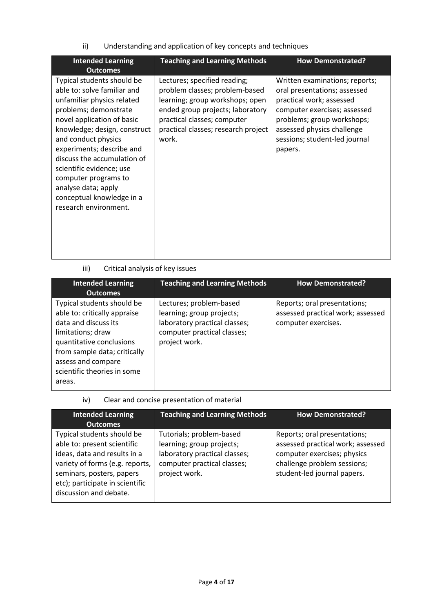ii) Understanding and application of key concepts and techniques

| <b>Intended Learning</b><br><b>Outcomes</b>                                                                                                                                                                                                                                                                                                                                                        | <b>Teaching and Learning Methods</b>                                                                                                                                                                                 | <b>How Demonstrated?</b>                                                                                                                                                                                                           |
|----------------------------------------------------------------------------------------------------------------------------------------------------------------------------------------------------------------------------------------------------------------------------------------------------------------------------------------------------------------------------------------------------|----------------------------------------------------------------------------------------------------------------------------------------------------------------------------------------------------------------------|------------------------------------------------------------------------------------------------------------------------------------------------------------------------------------------------------------------------------------|
| Typical students should be<br>able to: solve familiar and<br>unfamiliar physics related<br>problems; demonstrate<br>novel application of basic<br>knowledge; design, construct<br>and conduct physics<br>experiments; describe and<br>discuss the accumulation of<br>scientific evidence; use<br>computer programs to<br>analyse data; apply<br>conceptual knowledge in a<br>research environment. | Lectures; specified reading;<br>problem classes; problem-based<br>learning; group workshops; open<br>ended group projects; laboratory<br>practical classes; computer<br>practical classes; research project<br>work. | Written examinations; reports;<br>oral presentations; assessed<br>practical work; assessed<br>computer exercises; assessed<br>problems; group workshops;<br>assessed physics challenge<br>sessions; student-led journal<br>papers. |

# iii) Critical analysis of key issues

| <b>Intended Learning</b><br><b>Outcomes</b>                                                                                                                                                                                        | <b>Teaching and Learning Methods</b>                                                                                                  | <b>How Demonstrated?</b>                                                                 |
|------------------------------------------------------------------------------------------------------------------------------------------------------------------------------------------------------------------------------------|---------------------------------------------------------------------------------------------------------------------------------------|------------------------------------------------------------------------------------------|
| Typical students should be<br>able to: critically appraise<br>data and discuss its<br>limitations; draw<br>quantitative conclusions<br>from sample data; critically<br>assess and compare<br>scientific theories in some<br>areas. | Lectures; problem-based<br>learning; group projects;<br>laboratory practical classes;<br>computer practical classes;<br>project work. | Reports; oral presentations;<br>assessed practical work; assessed<br>computer exercises. |

iv) Clear and concise presentation of material

| <b>Intended Learning</b><br><b>Outcomes</b>                                                                                                                                                                            | <b>Teaching and Learning Methods</b>                                                                                                   | <b>How Demonstrated?</b>                                                                                                                                       |
|------------------------------------------------------------------------------------------------------------------------------------------------------------------------------------------------------------------------|----------------------------------------------------------------------------------------------------------------------------------------|----------------------------------------------------------------------------------------------------------------------------------------------------------------|
| Typical students should be<br>able to: present scientific<br>ideas, data and results in a<br>variety of forms (e.g. reports,<br>seminars, posters, papers<br>etc); participate in scientific<br>discussion and debate. | Tutorials; problem-based<br>learning; group projects;<br>laboratory practical classes;<br>computer practical classes;<br>project work. | Reports; oral presentations;<br>assessed practical work; assessed<br>computer exercises; physics<br>challenge problem sessions;<br>student-led journal papers. |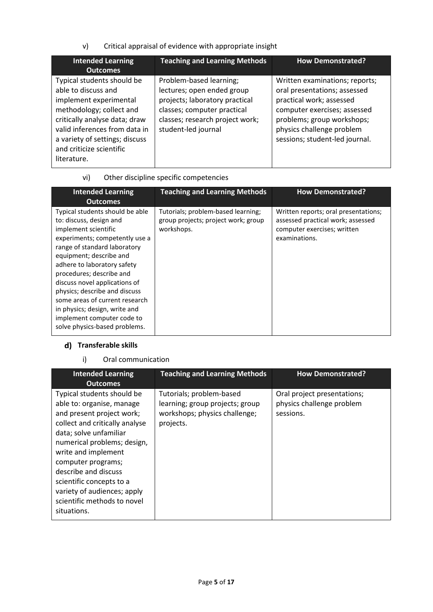v) Critical appraisal of evidence with appropriate insight

| <b>Intended Learning</b><br><b>Outcomes</b>                                                                                                                                                                                                            | <b>Teaching and Learning Methods</b>                                                                                                                                             | <b>How Demonstrated?</b>                                                                                                                                                                                                |
|--------------------------------------------------------------------------------------------------------------------------------------------------------------------------------------------------------------------------------------------------------|----------------------------------------------------------------------------------------------------------------------------------------------------------------------------------|-------------------------------------------------------------------------------------------------------------------------------------------------------------------------------------------------------------------------|
| Typical students should be<br>able to discuss and<br>implement experimental<br>methodology; collect and<br>critically analyse data; draw<br>valid inferences from data in<br>a variety of settings; discuss<br>and criticize scientific<br>literature. | Problem-based learning;<br>lectures; open ended group<br>projects; laboratory practical<br>classes; computer practical<br>classes; research project work;<br>student-led journal | Written examinations; reports;<br>oral presentations; assessed<br>practical work; assessed<br>computer exercises; assessed<br>problems; group workshops;<br>physics challenge problem<br>sessions; student-led journal. |

| vi) | Other discipline specific competencies |
|-----|----------------------------------------|
|-----|----------------------------------------|

| <b>Intended Learning</b><br><b>Outcomes</b>                                                                                                                                                                                                                                                                                                                                                                                                    | <b>Teaching and Learning Methods</b>                                                    | <b>How Demonstrated?</b>                                                                                                  |
|------------------------------------------------------------------------------------------------------------------------------------------------------------------------------------------------------------------------------------------------------------------------------------------------------------------------------------------------------------------------------------------------------------------------------------------------|-----------------------------------------------------------------------------------------|---------------------------------------------------------------------------------------------------------------------------|
| Typical students should be able<br>to: discuss, design and<br>implement scientific<br>experiments; competently use a<br>range of standard laboratory<br>equipment; describe and<br>adhere to laboratory safety<br>procedures; describe and<br>discuss novel applications of<br>physics; describe and discuss<br>some areas of current research<br>in physics; design, write and<br>implement computer code to<br>solve physics-based problems. | Tutorials; problem-based learning;<br>group projects; project work; group<br>workshops. | Written reports; oral presentations;<br>assessed practical work; assessed<br>computer exercises; written<br>examinations. |

# **Transferable skills**

i) Oral communication

| <b>Intended Learning</b><br><b>Outcomes</b>                                                                                                                                                                                                                                                                                                                   | <b>Teaching and Learning Methods</b>                                                                      | <b>How Demonstrated?</b>                                              |
|---------------------------------------------------------------------------------------------------------------------------------------------------------------------------------------------------------------------------------------------------------------------------------------------------------------------------------------------------------------|-----------------------------------------------------------------------------------------------------------|-----------------------------------------------------------------------|
| Typical students should be<br>able to: organise, manage<br>and present project work;<br>collect and critically analyse<br>data; solve unfamiliar<br>numerical problems; design,<br>write and implement<br>computer programs;<br>describe and discuss<br>scientific concepts to a<br>variety of audiences; apply<br>scientific methods to novel<br>situations. | Tutorials; problem-based<br>learning; group projects; group<br>workshops; physics challenge;<br>projects. | Oral project presentations;<br>physics challenge problem<br>sessions. |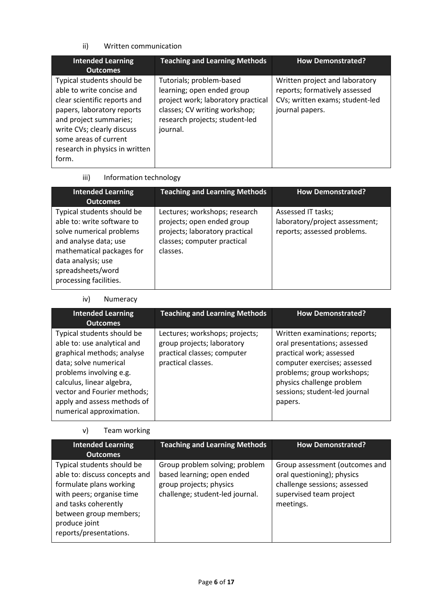# ii) Written communication

| <b>Intended Learning</b><br><b>Outcomes</b>                                                                                                                                                                                                       | <b>Teaching and Learning Methods</b>                                                                                                                                        | <b>How Demonstrated?</b>                                                                                              |
|---------------------------------------------------------------------------------------------------------------------------------------------------------------------------------------------------------------------------------------------------|-----------------------------------------------------------------------------------------------------------------------------------------------------------------------------|-----------------------------------------------------------------------------------------------------------------------|
| Typical students should be<br>able to write concise and<br>clear scientific reports and<br>papers, laboratory reports<br>and project summaries;<br>write CVs; clearly discuss<br>some areas of current<br>research in physics in written<br>form. | Tutorials; problem-based<br>learning; open ended group<br>project work; laboratory practical<br>classes; CV writing workshop;<br>research projects; student-led<br>journal. | Written project and laboratory<br>reports; formatively assessed<br>CVs; written exams; student-led<br>journal papers. |

# iii) Information technology

| <b>Intended Learning</b><br><b>Outcomes</b>                                                                                                                                                                     | <b>Teaching and Learning Methods</b>                                                                                                     | <b>How Demonstrated?</b>                                                            |
|-----------------------------------------------------------------------------------------------------------------------------------------------------------------------------------------------------------------|------------------------------------------------------------------------------------------------------------------------------------------|-------------------------------------------------------------------------------------|
| Typical students should be<br>able to: write software to<br>solve numerical problems<br>and analyse data; use<br>mathematical packages for<br>data analysis; use<br>spreadsheets/word<br>processing facilities. | Lectures; workshops; research<br>projects; open ended group<br>projects; laboratory practical<br>classes; computer practical<br>classes. | Assessed IT tasks;<br>laboratory/project assessment;<br>reports; assessed problems. |

# iv) Numeracy

| <b>Intended Learning</b><br><b>Outcomes</b>                                                                                                                                                                                                                        | <b>Teaching and Learning Methods</b>                                                                              | <b>How Demonstrated?</b>                                                                                                                                                                                                          |
|--------------------------------------------------------------------------------------------------------------------------------------------------------------------------------------------------------------------------------------------------------------------|-------------------------------------------------------------------------------------------------------------------|-----------------------------------------------------------------------------------------------------------------------------------------------------------------------------------------------------------------------------------|
| Typical students should be<br>able to: use analytical and<br>graphical methods; analyse<br>data; solve numerical<br>problems involving e.g.<br>calculus, linear algebra,<br>vector and Fourier methods;<br>apply and assess methods of<br>numerical approximation. | Lectures; workshops; projects;<br>group projects; laboratory<br>practical classes; computer<br>practical classes. | Written examinations; reports;<br>oral presentations; assessed<br>practical work; assessed<br>computer exercises; assessed<br>problems; group workshops;<br>physics challenge problem<br>sessions; student-led journal<br>papers. |

v) Team working

| <b>Intended Learning</b>                                                                                                                                                                                         | <b>Teaching and Learning Methods</b>                                                                                       | <b>How Demonstrated?</b>                                                                                                             |
|------------------------------------------------------------------------------------------------------------------------------------------------------------------------------------------------------------------|----------------------------------------------------------------------------------------------------------------------------|--------------------------------------------------------------------------------------------------------------------------------------|
| <b>Outcomes</b>                                                                                                                                                                                                  |                                                                                                                            |                                                                                                                                      |
| Typical students should be<br>able to: discuss concepts and<br>formulate plans working<br>with peers; organise time<br>and tasks coherently<br>between group members;<br>produce joint<br>reports/presentations. | Group problem solving; problem<br>based learning; open ended<br>group projects; physics<br>challenge; student-led journal. | Group assessment (outcomes and<br>oral questioning); physics<br>challenge sessions; assessed<br>supervised team project<br>meetings. |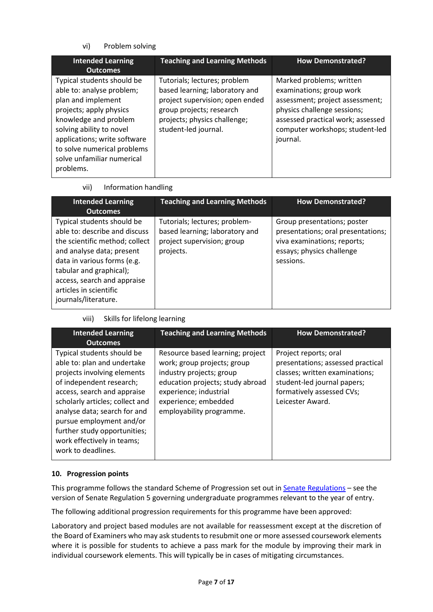# vi) Problem solving

| <b>Intended Learning</b><br><b>Outcomes</b>                                                                                                                                                                                                                             | <b>Teaching and Learning Methods</b>                                                                                                                                                  | <b>How Demonstrated?</b>                                                                                                                                                                                   |
|-------------------------------------------------------------------------------------------------------------------------------------------------------------------------------------------------------------------------------------------------------------------------|---------------------------------------------------------------------------------------------------------------------------------------------------------------------------------------|------------------------------------------------------------------------------------------------------------------------------------------------------------------------------------------------------------|
| Typical students should be<br>able to: analyse problem;<br>plan and implement<br>projects; apply physics<br>knowledge and problem<br>solving ability to novel<br>applications; write software<br>to solve numerical problems<br>solve unfamiliar numerical<br>problems. | Tutorials; lectures; problem<br>based learning; laboratory and<br>project supervision; open ended<br>group projects; research<br>projects; physics challenge;<br>student-led journal. | Marked problems; written<br>examinations; group work<br>assessment; project assessment;<br>physics challenge sessions;<br>assessed practical work; assessed<br>computer workshops; student-led<br>journal. |

vii) Information handling

| <b>Intended Learning</b><br><b>Outcomes</b>                                                                                                                                                                                                                           | <b>Teaching and Learning Methods</b>                                                                       | <b>How Demonstrated?</b>                                                                                                                   |
|-----------------------------------------------------------------------------------------------------------------------------------------------------------------------------------------------------------------------------------------------------------------------|------------------------------------------------------------------------------------------------------------|--------------------------------------------------------------------------------------------------------------------------------------------|
| Typical students should be<br>able to: describe and discuss<br>the scientific method; collect<br>and analyse data; present<br>data in various forms (e.g.<br>tabular and graphical);<br>access, search and appraise<br>articles in scientific<br>journals/literature. | Tutorials; lectures; problem-<br>based learning; laboratory and<br>project supervision; group<br>projects. | Group presentations; poster<br>presentations; oral presentations;<br>viva examinations; reports;<br>essays; physics challenge<br>sessions. |

# viii) Skills for lifelong learning

| <b>Intended Learning</b><br><b>Outcomes</b>                                                                                                                                                                                                                                                                                            | <b>Teaching and Learning Methods</b>                                                                                                                                                                          | <b>How Demonstrated?</b>                                                                                                                                                     |
|----------------------------------------------------------------------------------------------------------------------------------------------------------------------------------------------------------------------------------------------------------------------------------------------------------------------------------------|---------------------------------------------------------------------------------------------------------------------------------------------------------------------------------------------------------------|------------------------------------------------------------------------------------------------------------------------------------------------------------------------------|
| Typical students should be<br>able to: plan and undertake<br>projects involving elements<br>of independent research;<br>access, search and appraise<br>scholarly articles; collect and<br>analyse data; search for and<br>pursue employment and/or<br>further study opportunities;<br>work effectively in teams;<br>work to deadlines. | Resource based learning; project<br>work; group projects; group<br>industry projects; group<br>education projects; study abroad<br>experience; industrial<br>experience; embedded<br>employability programme. | Project reports; oral<br>presentations; assessed practical<br>classes; written examinations;<br>student-led journal papers;<br>formatively assessed CVs;<br>Leicester Award. |

# **10. Progression points**

This programme follows the standard Scheme of Progression set out in **Senate Regulations** - see the version of Senate Regulation 5 governing undergraduate programmes relevant to the year of entry.

The following additional progression requirements for this programme have been approved:

Laboratory and project based modules are not available for reassessment except at the discretion of the Board of Examiners who may ask students to resubmit one or more assessed coursework elements where it is possible for students to achieve a pass mark for the module by improving their mark in individual coursework elements. This will typically be in cases of mitigating circumstances.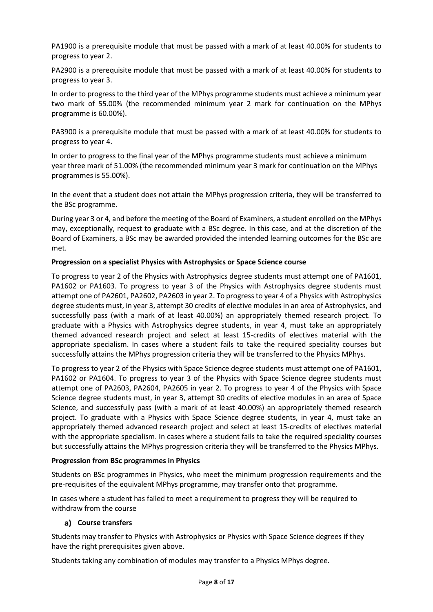PA1900 is a prerequisite module that must be passed with a mark of at least 40.00% for students to progress to year 2.

PA2900 is a prerequisite module that must be passed with a mark of at least 40.00% for students to progress to year 3.

In order to progress to the third year of the MPhys programme students must achieve a minimum year two mark of 55.00% (the recommended minimum year 2 mark for continuation on the MPhys programme is 60.00%).

PA3900 is a prerequisite module that must be passed with a mark of at least 40.00% for students to progress to year 4.

In order to progress to the final year of the MPhys programme students must achieve a minimum year three mark of 51.00% (the recommended minimum year 3 mark for continuation on the MPhys programmes is 55.00%).

In the event that a student does not attain the MPhys progression criteria, they will be transferred to the BSc programme.

During year 3 or 4, and before the meeting of the Board of Examiners, a student enrolled on the MPhys may, exceptionally, request to graduate with a BSc degree. In this case, and at the discretion of the Board of Examiners, a BSc may be awarded provided the intended learning outcomes for the BSc are met.

## **Progression on a specialist Physics with Astrophysics or Space Science course**

To progress to year 2 of the Physics with Astrophysics degree students must attempt one of PA1601, PA1602 or PA1603. To progress to year 3 of the Physics with Astrophysics degree students must attempt one of PA2601, PA2602, PA2603 in year 2. To progress to year 4 of a Physics with Astrophysics degree students must, in year 3, attempt 30 credits of elective modules in an area of Astrophysics, and successfully pass (with a mark of at least 40.00%) an appropriately themed research project. To graduate with a Physics with Astrophysics degree students, in year 4, must take an appropriately themed advanced research project and select at least 15-credits of electives material with the appropriate specialism. In cases where a student fails to take the required speciality courses but successfully attains the MPhys progression criteria they will be transferred to the Physics MPhys.

To progress to year 2 of the Physics with Space Science degree students must attempt one of PA1601, PA1602 or PA1604. To progress to year 3 of the Physics with Space Science degree students must attempt one of PA2603, PA2604, PA2605 in year 2. To progress to year 4 of the Physics with Space Science degree students must, in year 3, attempt 30 credits of elective modules in an area of Space Science, and successfully pass (with a mark of at least 40.00%) an appropriately themed research project. To graduate with a Physics with Space Science degree students, in year 4, must take an appropriately themed advanced research project and select at least 15-credits of electives material with the appropriate specialism. In cases where a student fails to take the required speciality courses but successfully attains the MPhys progression criteria they will be transferred to the Physics MPhys.

## **Progression from BSc programmes in Physics**

Students on BSc programmes in Physics, who meet the minimum progression requirements and the pre-requisites of the equivalent MPhys programme, may transfer onto that programme.

In cases where a student has failed to meet a requirement to progress they will be required to withdraw from the course

## **Course transfers**

Students may transfer to Physics with Astrophysics or Physics with Space Science degrees if they have the right prerequisites given above.

Students taking any combination of modules may transfer to a Physics MPhys degree.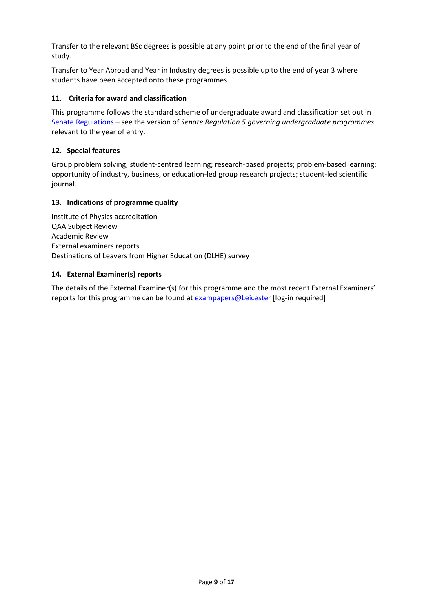Transfer to the relevant BSc degrees is possible at any point prior to the end of the final year of study.

Transfer to Year Abroad and Year in Industry degrees is possible up to the end of year 3 where students have been accepted onto these programmes.

## **11. Criteria for award and classification**

This programme follows the standard scheme of undergraduate award and classification set out in [Senate Regulations](http://www.le.ac.uk/senate-regulations) – see the version of *Senate Regulation 5 governing undergraduate programmes* relevant to the year of entry.

## **12. Special features**

Group problem solving; student-centred learning; research-based projects; problem-based learning; opportunity of industry, business, or education-led group research projects; student-led scientific journal.

## **13. Indications of programme quality**

Institute of Physics accreditation QAA Subject Review Academic Review External examiners reports Destinations of Leavers from Higher Education (DLHE) survey

## **14. External Examiner(s) reports**

The details of the External Examiner(s) for this programme and the most recent External Examiners' reports for this programme can be found at [exampapers@Leicester](https://exampapers.le.ac.uk/) [log-in required]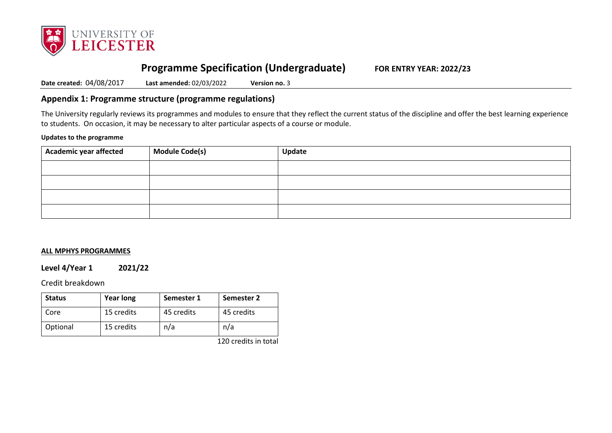

# **Programme Specification (Undergraduate) FOR ENTRY YEAR: 2022/23**

**Date created:** 04/08/2017 **Last amended:** 02/03/2022 **Version no.** 3

# **Appendix 1: Programme structure (programme regulations)**

The University regularly reviews its programmes and modules to ensure that they reflect the current status of the discipline and offer the best learning experience to students. On occasion, it may be necessary to alter particular aspects of a course or module.

### **Updates to the programme**

| $\,$ Academic year affected | Module Code(s) | <b>Update</b> |
|-----------------------------|----------------|---------------|
|                             |                |               |
|                             |                |               |
|                             |                |               |
|                             |                |               |

### **ALL MPHYS PROGRAMMES**

## **Level 4/Year 1 2021/22**

## Credit breakdown

| <b>Status</b> | <b>Year long</b> | Semester 1 | Semester 2 |
|---------------|------------------|------------|------------|
| Core          | 15 credits       | 45 credits | 45 credits |
| Optional      | 15 credits       | n/a        | n/a        |

120 credits in total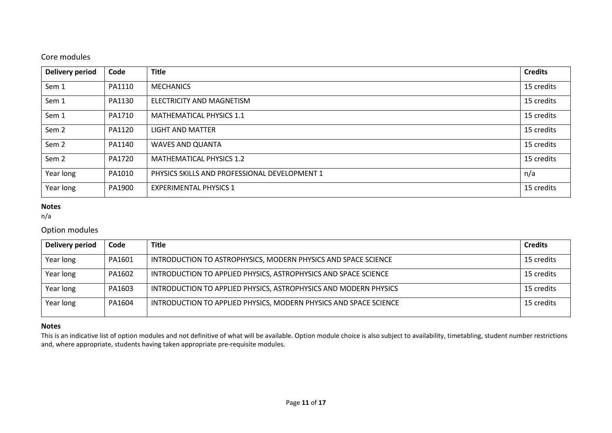# Core modules

| <b>Delivery period</b> | Code   | <b>Title</b>                                  | <b>Credits</b> |
|------------------------|--------|-----------------------------------------------|----------------|
| Sem 1                  | PA1110 | <b>MECHANICS</b>                              | 15 credits     |
| Sem 1                  | PA1130 | ELECTRICITY AND MAGNETISM                     | 15 credits     |
| Sem 1                  | PA1710 | <b>MATHEMATICAL PHYSICS 1.1</b>               | 15 credits     |
| Sem <sub>2</sub>       | PA1120 | <b>LIGHT AND MATTER</b>                       | 15 credits     |
| Sem <sub>2</sub>       | PA1140 | WAVES AND QUANTA                              | 15 credits     |
| Sem <sub>2</sub>       | PA1720 | <b>MATHEMATICAL PHYSICS 1.2</b>               | 15 credits     |
| Year long              | PA1010 | PHYSICS SKILLS AND PROFESSIONAL DEVELOPMENT 1 | n/a            |
| Year long              | PA1900 | <b>EXPERIMENTAL PHYSICS 1</b>                 | 15 credits     |

# **Notes**

n/a

# Option modules

| <b>Delivery period</b> | Code   | <b>Title</b>                                                      | <b>Credits</b> |
|------------------------|--------|-------------------------------------------------------------------|----------------|
| Year long              | PA1601 | INTRODUCTION TO ASTROPHYSICS, MODERN PHYSICS AND SPACE SCIENCE    | 15 credits     |
| Year long              | PA1602 | INTRODUCTION TO APPLIED PHYSICS, ASTROPHYSICS AND SPACE SCIENCE   | 15 credits     |
| Year long              | PA1603 | INTRODUCTION TO APPLIED PHYSICS, ASTROPHYSICS AND MODERN PHYSICS  | 15 credits     |
| Year long              | PA1604 | INTRODUCTION TO APPLIED PHYSICS, MODERN PHYSICS AND SPACE SCIENCE | 15 credits     |

## **Notes**

This is an indicative list of option modules and not definitive of what will be available. Option module choice is also subject to availability, timetabling, student number restrictions and, where appropriate, students having taken appropriate pre-requisite modules.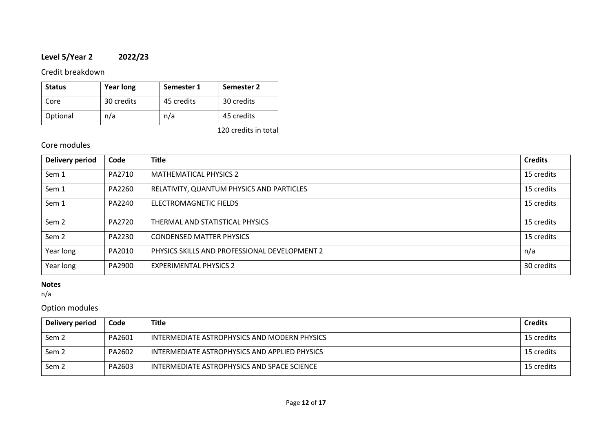# **Level 5/Year 2 2022/23**

# Credit breakdown

| <b>Status</b> | <b>Year long</b> | Semester 1 | Semester 2 |
|---------------|------------------|------------|------------|
| Core          | 30 credits       | 45 credits | 30 credits |
| Optional      | n/a              | n/a        | 45 credits |

120 credits in total

# Core modules

| <b>Delivery period</b> | Code   | <b>Title</b>                                  | <b>Credits</b> |
|------------------------|--------|-----------------------------------------------|----------------|
| Sem 1                  | PA2710 | <b>MATHEMATICAL PHYSICS 2</b>                 | 15 credits     |
| Sem 1                  | PA2260 | RELATIVITY, QUANTUM PHYSICS AND PARTICLES     | 15 credits     |
| Sem 1                  | PA2240 | ELECTROMAGNETIC FIELDS                        | 15 credits     |
| Sem <sub>2</sub>       | PA2720 | THERMAL AND STATISTICAL PHYSICS               | 15 credits     |
| Sem <sub>2</sub>       | PA2230 | <b>CONDENSED MATTER PHYSICS</b>               | 15 credits     |
| Year long              | PA2010 | PHYSICS SKILLS AND PROFESSIONAL DEVELOPMENT 2 | n/a            |
| Year long              | PA2900 | <b>EXPERIMENTAL PHYSICS 2</b>                 | 30 credits     |

# **Notes**

n/a

# Option modules

| Delivery period  | Code   | <b>Title</b>                                  | <b>Credits</b> |
|------------------|--------|-----------------------------------------------|----------------|
| Sem <sub>2</sub> | PA2601 | INTERMEDIATE ASTROPHYSICS AND MODERN PHYSICS  | 15 credits     |
| Sem <sub>2</sub> | PA2602 | INTERMEDIATE ASTROPHYSICS AND APPLIED PHYSICS | 15 credits     |
| Sem <sub>2</sub> | PA2603 | INTERMEDIATE ASTROPHYSICS AND SPACE SCIENCE   | 15 credits     |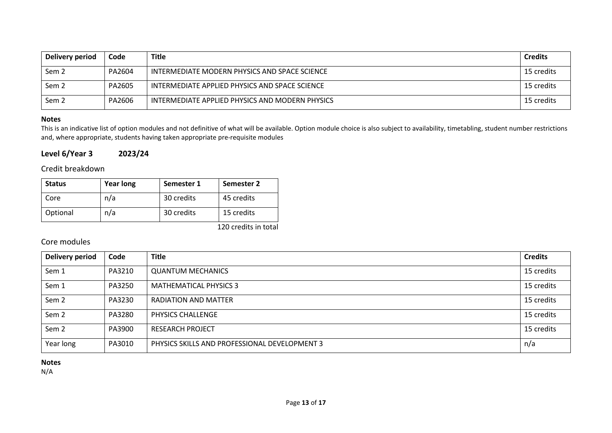| Delivery period  | Code   | <b>Title</b>                                    | <b>Credits</b> |
|------------------|--------|-------------------------------------------------|----------------|
| Sem 2            | PA2604 | INTERMEDIATE MODERN PHYSICS AND SPACE SCIENCE   | 15 credits     |
| Sem <sub>2</sub> | PA2605 | INTERMEDIATE APPLIED PHYSICS AND SPACE SCIENCE  | 15 credits     |
| Sem <sub>2</sub> | PA2606 | INTERMEDIATE APPLIED PHYSICS AND MODERN PHYSICS | 15 credits     |

### **Notes**

This is an indicative list of option modules and not definitive of what will be available. Option module choice is also subject to availability, timetabling, student number restrictions and, where appropriate, students having taken appropriate pre-requisite modules

# **Level 6/Year 3 2023/24**

# Credit breakdown

| <b>Status</b> | <b>Year long</b> | Semester 1 | Semester 2 |
|---------------|------------------|------------|------------|
| Core          | n/a              | 30 credits | 45 credits |
| Optional      | n/a              | 30 credits | 15 credits |

120 credits in total

# Core modules

| <b>Delivery period</b> | Code   | <b>Title</b>                                  | <b>Credits</b> |
|------------------------|--------|-----------------------------------------------|----------------|
| Sem 1                  | PA3210 | <b>QUANTUM MECHANICS</b>                      | 15 credits     |
| Sem 1                  | PA3250 | <b>MATHEMATICAL PHYSICS 3</b>                 | 15 credits     |
| Sem <sub>2</sub>       | PA3230 | <b>RADIATION AND MATTER</b>                   | 15 credits     |
| Sem <sub>2</sub>       | PA3280 | PHYSICS CHALLENGE                             | 15 credits     |
| Sem <sub>2</sub>       | PA3900 | <b>RESEARCH PROJECT</b>                       | 15 credits     |
| Year long              | PA3010 | PHYSICS SKILLS AND PROFESSIONAL DEVELOPMENT 3 | n/a            |

## **Notes**

N/A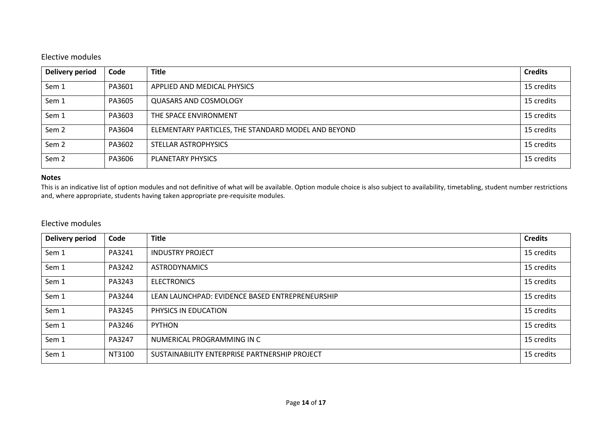# Elective modules

| <b>Delivery period</b> | Code   | <b>Title</b>                                        | <b>Credits</b> |
|------------------------|--------|-----------------------------------------------------|----------------|
| Sem 1                  | PA3601 | APPLIED AND MEDICAL PHYSICS                         | 15 credits     |
| Sem 1                  | PA3605 | QUASARS AND COSMOLOGY                               | 15 credits     |
| Sem 1                  | PA3603 | THE SPACE ENVIRONMENT                               | 15 credits     |
| Sem <sub>2</sub>       | PA3604 | ELEMENTARY PARTICLES, THE STANDARD MODEL AND BEYOND | 15 credits     |
| Sem <sub>2</sub>       | PA3602 | STELLAR ASTROPHYSICS                                | 15 credits     |
| Sem <sub>2</sub>       | PA3606 | PLANETARY PHYSICS                                   | 15 credits     |

## **Notes**

This is an indicative list of option modules and not definitive of what will be available. Option module choice is also subject to availability, timetabling, student number restrictions and, where appropriate, students having taken appropriate pre-requisite modules.

# Elective modules

| <b>Delivery period</b> | Code   | <b>Title</b>                                    | <b>Credits</b> |
|------------------------|--------|-------------------------------------------------|----------------|
| Sem 1                  | PA3241 | <b>INDUSTRY PROJECT</b>                         | 15 credits     |
| Sem 1                  | PA3242 | <b>ASTRODYNAMICS</b>                            | 15 credits     |
| Sem 1                  | PA3243 | <b>ELECTRONICS</b>                              | 15 credits     |
| Sem 1                  | PA3244 | LEAN LAUNCHPAD: EVIDENCE BASED ENTREPRENEURSHIP | 15 credits     |
| Sem 1                  | PA3245 | PHYSICS IN EDUCATION                            | 15 credits     |
| Sem 1                  | PA3246 | <b>PYTHON</b>                                   | 15 credits     |
| Sem 1                  | PA3247 | NUMERICAL PROGRAMMING IN C                      | 15 credits     |
| Sem 1                  | NT3100 | SUSTAINABILITY ENTERPRISE PARTNERSHIP PROJECT   | 15 credits     |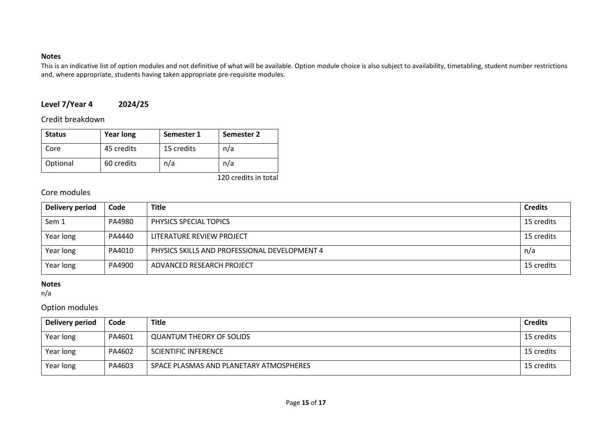## **Notes**

This is an indicative list of option modules and not definitive of what will be available. Option module choice is also subject to availability, timetabling, student number restrictions and, where appropriate, students having taken appropriate pre-requisite modules.

# **Level 7/Year 4 2024/25**

Credit breakdown

| <b>Status</b> | <b>Year long</b> | Semester 1 | <b>Semester 2</b> |
|---------------|------------------|------------|-------------------|
| Core          | 45 credits       | 15 credits | n/a               |
| Optional      | 60 credits       | n/a        | n/a               |

120 credits in total

# Core modules

| Delivery period | Code   | <b>Title</b>                                  | <b>Credits</b> |
|-----------------|--------|-----------------------------------------------|----------------|
| Sem 1           | PA4980 | PHYSICS SPECIAL TOPICS                        | 15 credits     |
| Year long       | PA4440 | LITERATURE REVIEW PROJECT                     | 15 credits     |
| Year long       | PA4010 | PHYSICS SKILLS AND PROFESSIONAL DEVELOPMENT 4 | n/a            |
| Year long       | PA4900 | ADVANCED RESEARCH PROJECT                     | 15 credits     |

## **Notes**

n/a

# Option modules

| Delivery period | Code   | <b>Title</b>                            | <b>Credits</b> |
|-----------------|--------|-----------------------------------------|----------------|
| Year long       | PA4601 | <b>QUANTUM THEORY OF SOLIDS</b>         | 15 credits     |
| Year long       | PA4602 | <b>SCIENTIFIC INFERENCE</b>             | 15 credits     |
| Year long       | PA4603 | SPACE PLASMAS AND PLANETARY ATMOSPHERES | 15 credits     |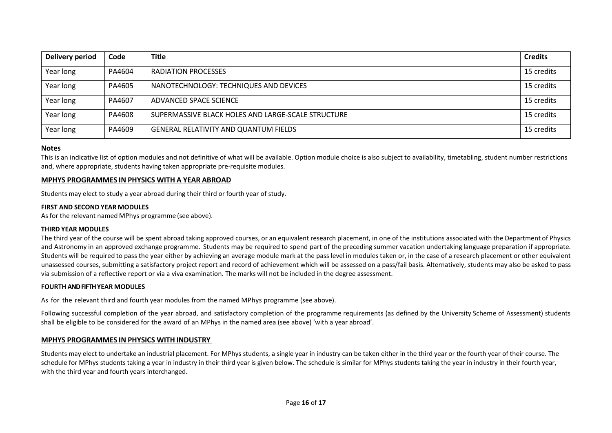| <b>Delivery period</b> | Code   | <b>Title</b>                                       | <b>Credits</b> |
|------------------------|--------|----------------------------------------------------|----------------|
| Year long              | PA4604 | <b>RADIATION PROCESSES</b>                         | 15 credits     |
| Year long              | PA4605 | NANOTECHNOLOGY: TECHNIQUES AND DEVICES             | 15 credits     |
| Year long              | PA4607 | ADVANCED SPACE SCIENCE                             | 15 credits     |
| Year long              | PA4608 | SUPERMASSIVE BLACK HOLES AND LARGE-SCALE STRUCTURE | 15 credits     |
| Year long              | PA4609 | GENERAL RELATIVITY AND QUANTUM FIELDS              | 15 credits     |

#### **Notes**

This is an indicative list of option modules and not definitive of what will be available. Option module choice is also subject to availability, timetabling, student number restrictions and, where appropriate, students having taken appropriate pre-requisite modules.

#### **MPHYS PROGRAMMES IN PHYSICS WITH A YEAR ABROAD**

Students may elect to study a year abroad during their third or fourth year of study.

#### **FIRST AND SECOND YEAR MODULES**

As for the relevant named MPhys programme (see above).

#### **THIRD YEAR MODULES**

The third year of the course will be spent abroad taking approved courses, or an equivalent research placement, in one of the institutions associated with the Department of Physics and Astronomy in an approved exchange programme. Students may be required to spend part of the preceding summer vacation undertaking language preparation if appropriate. Students will be required to pass the year either by achieving an average module mark at the pass level in modules taken or, in the case of a research placement or other equivalent unassessed courses, submitting a satisfactory project report and record of achievement which will be assessed on a pass/fail basis. Alternatively, students may also be asked to pass via submission of a reflective report or via a viva examination. The marks will not be included in the degree assessment.

#### **FOURTH AND FIFTH YEAR MODULES**

As for the relevant third and fourth year modules from the named MPhys programme (see above).

Following successful completion of the year abroad, and satisfactory completion of the programme requirements (as defined by the University Scheme of Assessment) students shall be eligible to be considered for the award of an MPhys in the named area (see above) 'with a year abroad'.

### **MPHYS PROGRAMMES IN PHYSICS WITH INDUSTRY**

Students may elect to undertake an industrial placement. For MPhys students, a single year in industry can be taken either in the third year or the fourth year of their course. The schedule for MPhys students taking a year in industry in their third year is given below. The schedule is similar for MPhys students taking the year in industry in their fourth year, with the third year and fourth years interchanged.